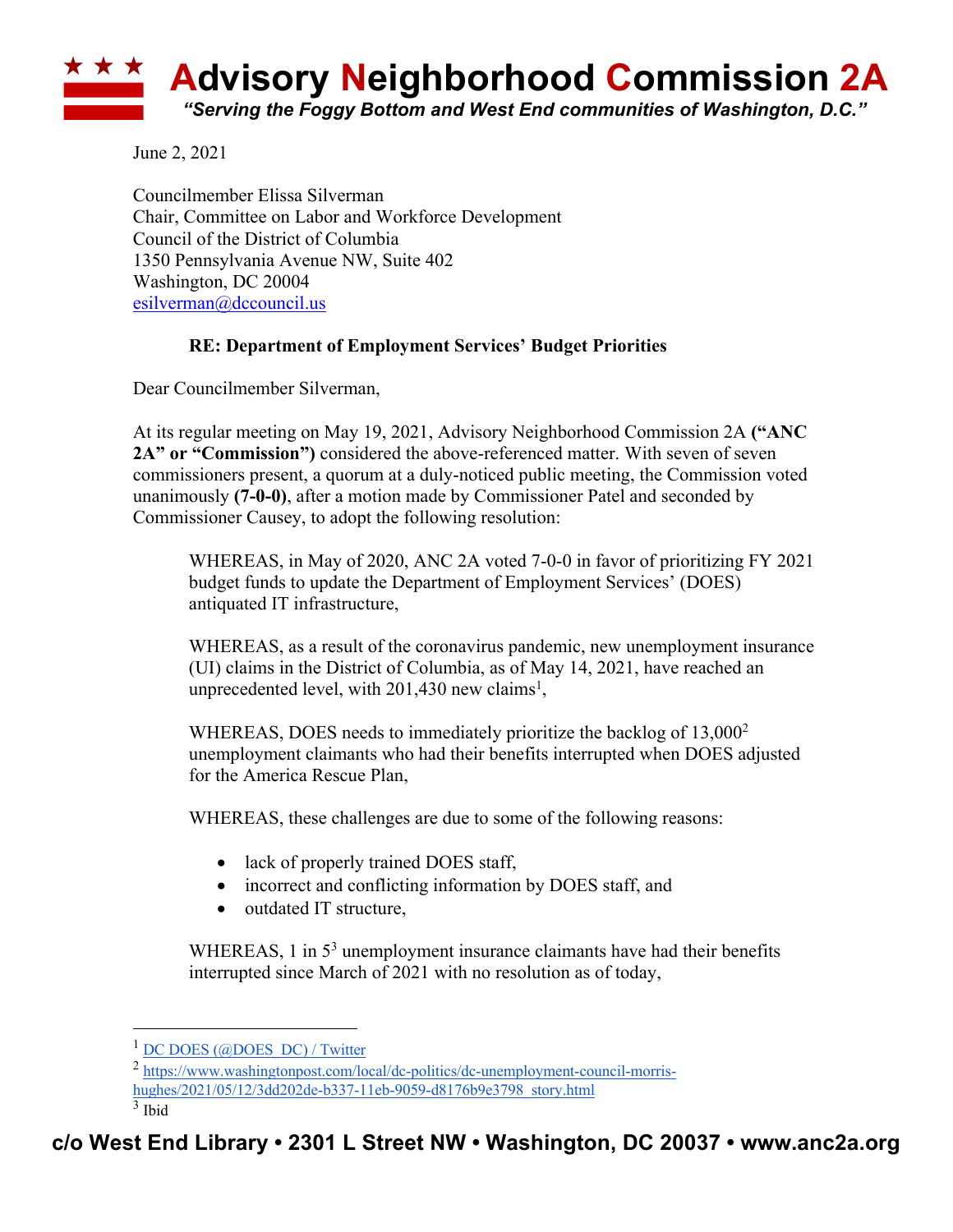

June 2, 2021

Councilmember Elissa Silverman Chair, Committee on Labor and Workforce Development Council of the District of Columbia 1350 Pennsylvania Avenue NW, Suite 402 Washington, DC 20004 esilverman@dccouncil.us

## **RE: Department of Employment Services' Budget Priorities**

Dear Councilmember Silverman,

At its regular meeting on May 19, 2021, Advisory Neighborhood Commission 2A **("ANC 2A" or "Commission")** considered the above-referenced matter. With seven of seven commissioners present, a quorum at a duly-noticed public meeting, the Commission voted unanimously **(7-0-0)**, after a motion made by Commissioner Patel and seconded by Commissioner Causey, to adopt the following resolution:

WHEREAS, in May of 2020, ANC 2A voted 7-0-0 in favor of prioritizing FY 2021 budget funds to update the Department of Employment Services' (DOES) antiquated IT infrastructure,

WHEREAS, as a result of the coronavirus pandemic, new unemployment insurance (UI) claims in the District of Columbia, as of May 14, 2021, have reached an unprecedented level, with  $201,430$  new claims<sup>1</sup>,

WHEREAS, DOES needs to immediately prioritize the backlog of 13,000<sup>2</sup> unemployment claimants who had their benefits interrupted when DOES adjusted for the America Rescue Plan,

WHEREAS, these challenges are due to some of the following reasons:

- lack of properly trained DOES staff,
- incorrect and conflicting information by DOES staff, and
- outdated IT structure,

WHEREAS, 1 in  $5<sup>3</sup>$  unemployment insurance claimants have had their benefits interrupted since March of 2021 with no resolution as of today,

 $1$  DC DOES (@DOES DC) / Twitter

<sup>2</sup> https://www.washingtonpost.com/local/dc-politics/dc-unemployment-council-morrishughes/2021/05/12/3dd202de-b337-11eb-9059-d8176b9e3798\_story.html

 $3$  Ibid